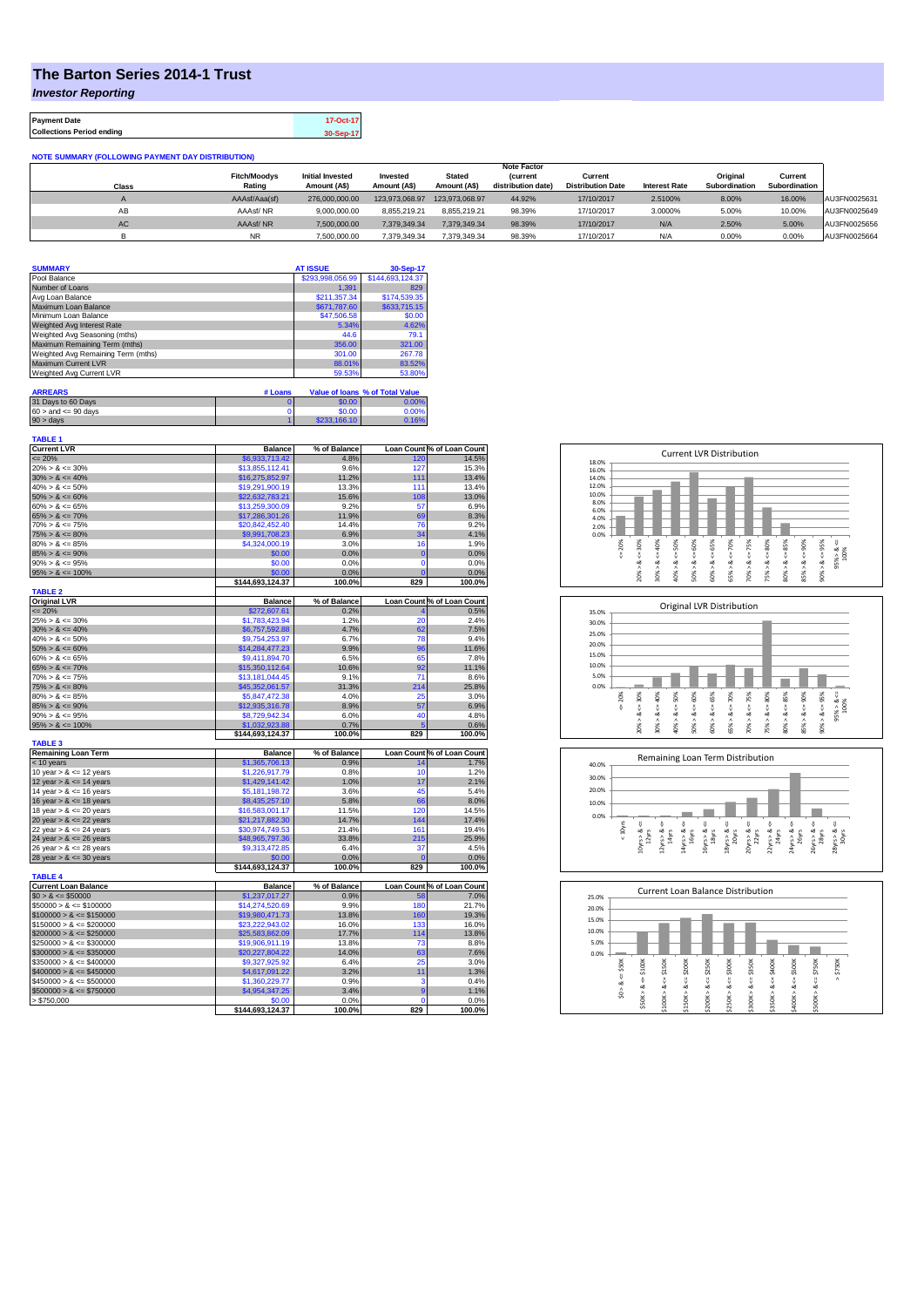## **The Barton Series 2014-1 Trust**

*Investor Reporting*

| <b>Payment Date</b>              | 17-Oct-17 |
|----------------------------------|-----------|
| <b>Collections Period ending</b> | 30-Sep-17 |

**NOTE SUMMARY (FOLLOWING PAYMENT DAY DISTRIBUTION)**

|           |                     |                         |                |                | <b>Note Factor</b> |                          |                      |               |               |              |
|-----------|---------------------|-------------------------|----------------|----------------|--------------------|--------------------------|----------------------|---------------|---------------|--------------|
|           | <b>Fitch/Moodys</b> | <b>Initial Invested</b> | Invested       | <b>Stated</b>  | <i>(current</i>    | Current                  |                      | Original      | Current       |              |
| Class     | Rating              | Amount (A\$)            | Amount (A\$)   | Amount (A\$)   | distribution date) | <b>Distribution Date</b> | <b>Interest Rate</b> | Subordination | Subordination |              |
|           | AAAsf/Aaa(sf)       | 276.000.000.00          | 123.973.068.97 | 123.973.068.97 | 44.92%             | 17/10/2017               | 2.5100%              | 8.00%         | 16.00%        | AU3FN0025631 |
| AB        | AAAsf/NR            | 9.000.000.00            | 8.855.219.21   | 8.855.219.21   | 98.39%             | 17/10/2017               | 3.0000%              | 5.00%         | 10.00%        | AU3FN0025649 |
| <b>AC</b> | AAAsf/NR            | 7.500.000.00            | 7.379.349.34   | 7.379.349.34   | 98.39%             | 17/10/2017               | N/A                  | 2.50%         | 5.00%         | AU3FN0025656 |
|           | <b>NR</b>           | 7.500.000.00            | 7.379.349.34   | 7.379.349.34   | 98.39%             | 17/10/2017               | N/A                  | 0.00%         | 0.00%         | AU3FN0025664 |

| <b>SUMMARY</b>                     |         | <b>AT ISSUE</b>  | 30-Sep-17                       |
|------------------------------------|---------|------------------|---------------------------------|
| Pool Balance                       |         | \$293,998,056.99 | \$144,693,124.37                |
| Number of Loans                    |         | 1.391            | 829                             |
| Avg Loan Balance                   |         | \$211,357.34     | \$174,539.35                    |
| Maximum Loan Balance               |         | \$671,787.60     | \$633,715.15                    |
| Minimum Loan Balance               |         | \$47,506.58      | \$0.00                          |
| Weighted Avg Interest Rate         |         | 5.34%            | 4.62%                           |
| Weighted Avg Seasoning (mths)      |         | 44.6             | 79.1                            |
| Maximum Remaining Term (mths)      |         | 356.00           | 321.00                          |
| Weighted Avg Remaining Term (mths) |         | 301.00           | 267.78                          |
| <b>Maximum Current LVR</b>         |         | 88.01%           | 83.52%                          |
| Weighted Avg Current LVR           |         | 59.53%           | 53.80%                          |
| <b>ARREARS</b>                     | # Loans |                  | Value of Ioans % of Total Value |
| 31 Days to 60 Days                 | Ω       | \$0.00           | 0.00%                           |
| $60 >$ and $\leq 90$ days          |         | \$0.00           | 0.00%                           |
| $90 > \text{days}$                 |         | \$233,166.10     | 0.16%                           |

| <b>TABLE 1</b><br><b>Current LVR</b>  | <b>Balance</b>             | % of Balance   |                       | Loan Count % of Loan Count |
|---------------------------------------|----------------------------|----------------|-----------------------|----------------------------|
| $= 20%$                               | \$6,933,713,42             | 4.8%           | 120                   | 14.5%                      |
| $20\% > 8 \le 30\%$                   | \$13,855,112.41            | 9.6%           | 127                   | 15.3%                      |
| $30\% > 8 \le 40\%$                   | \$16,275,852.97            | 11.2%          | 111                   | 13.4%                      |
| $40\% > 8 \le 50\%$                   | \$19,291,900.19            | 13.3%          | 111                   | 13.4%                      |
| $50\% > 8 \le 60\%$                   | \$22,632,783.21            | 15.6%          | 108                   | 13.0%                      |
| $60\% > 8 \le 65\%$                   | \$13,259,300.09            | 9.2%           | 57                    | 6.9%                       |
| $65\% > 8 \le 70\%$                   | \$17,286,301.26            | 11.9%          | 69                    | 8.3%                       |
| $70\% > 8 \le 75\%$                   | \$20,842,452.40            | 14.4%          | 76                    | 9.2%                       |
| $75\% > 8 \le 80\%$                   | \$9,991,708.23             | 6.9%           | 34                    | 4.1%                       |
| $80\% > 8 \le 85\%$                   | \$4,324,000.19             | 3.0%           | 16                    | 1.9%                       |
| $85\% > 8 \le 90\%$                   | \$0.00                     | 0.0%           | 0                     | 0.0%                       |
| $90\% > 8 \le 95\%$                   | \$0.00                     | 0.0%           | 0                     | 0.0%                       |
| $95\% > 8 \le 100\%$                  | \$0.00                     | 0.0%           |                       | 0.0%                       |
|                                       | \$144,693,124.37           | 100.0%         | 829                   | 100.0%                     |
| <b>TABLE 2</b><br><b>Original LVR</b> | <b>Balance</b>             | % of Balance   |                       | Loan Count % of Loan Count |
| $= 20%$                               | \$272,607.61               | 0.2%           |                       | 0.5%                       |
| $25\% > 8 \le 30\%$                   | \$1,783,423.94             | 1.2%           | 20                    | 2.4%                       |
| $30\% > 8 \le 40\%$                   | \$6,757,592.88             | 4.7%           | 62                    | 7.5%                       |
| $40\% > 8 \le 50\%$                   | \$9,754,253,97             | 6.7%           | 78                    | 9.4%                       |
| $50\% > 8 \le 60\%$                   | \$14,284,477.23            | 9.9%           | 96                    | 11.6%                      |
| $60\% > 8 \le 65\%$                   | \$9,411,894.70             | 6.5%           | 65                    | 7.8%                       |
| $65\% > 8 \le 70\%$                   | \$15,350,112.64            | 10.6%          | 92                    | 11.1%                      |
| $70\% > 8 \le 75\%$                   | \$13,181,044.45            | 9.1%           | 71                    | 8.6%                       |
| $75\% > 8 \le 80\%$                   | \$45,352,061.57            | 31.3%          | 214                   | 25.8%                      |
| $80\% > 8 \le 85\%$                   | \$5,847,472.38             | 4.0%           | 25                    | 3.0%                       |
| $85\% > 8 \le 90\%$                   | \$12,935,316.78            | 8.9%           | 57                    | 6.9%                       |
| $90\% > 8 \le 95\%$                   | \$8,729,942.34             | 6.0%           | 40                    | 4.8%                       |
| $95\% > 8 \le 100\%$                  | \$1,032,923.88             | 0.7%           |                       | 0.6%                       |
|                                       | \$144,693,124.37           | 100.0%         | 829                   | 100.0%                     |
| <b>TABLE 3</b>                        |                            |                |                       |                            |
| <b>Remaining Loan Term</b>            | <b>Balance</b>             | % of Balance   |                       | Loan Count % of Loan Count |
| $<$ 10 years                          | \$1,365,706.13             | 0.9%           | 14                    | 1.7%                       |
| 10 year $> 8 \le 12$ years            | \$1,226,917.79             | 0.8%           | 10                    | 1.2%                       |
| 12 year $> 8 \le 14$ years            | \$1,429,141.42             | 1.0%           | 17                    | 2.1%                       |
| 14 year $> 8 \le 16$ years            | \$5,181,198.72             | 3.6%           | 45                    | 5.4%                       |
| 16 year $> 8 \le 18$ years            | \$8,435,257.10             | 5.8%           | 66                    | 8.0%                       |
| 18 year $> 8 \le 20$ years            | \$16,583,001.17            | 11.5%          | 120                   | 14.5%                      |
| 20 year $> 8 \le 22$ years            | \$21,217,882.30            | 14.7%          | 144                   | 17.4%                      |
| 22 year $> 8 \le 24$ years            | \$30,974,749.53            | 21.4%          | 161                   | 19.4%                      |
| 24 year $> 8 \le 26$ years            | \$48,965,797.36            | 33.8%          | 215                   | 25.9%                      |
| 26 year $> 8 \le 28$ years            | \$9,313,472.85             | 6.4%           | 37                    | 4.5%                       |
| 28 year $> 8 \le 30$ years            | \$0.00<br>\$144,693,124.37 | 0.0%<br>100.0% | $\overline{0}$<br>829 | 0.0%<br>100.0%             |
| <b>TABLE 4</b>                        |                            |                |                       |                            |
| <b>Current Loan Balance</b>           | <b>Balance</b>             | % of Balance   |                       | Loan Count % of Loan Count |
| $$0 > 8 \leq $50000$                  | \$1,237,017.27             | 0.9%           | 58                    | 7.0%                       |
| $$50000 > 8 \le $100000$              | \$14,274,520.69            | 9.9%           | 180                   | 21.7%                      |
| $$100000 > 8 \le $150000$             | \$19,980,471.73            | 13.8%          | 160                   | 19.3%                      |
| $$150000 > 8 \leq $200000$            | \$23,222,943.02            | 16.0%          | 133                   | 16.0%                      |
| $$200000 > 8 \leq $250000$            | \$25,583,862.09            | 17.7%          | 114                   | 13.8%                      |
| $$250000 > 8 \le $300000$             | \$19,906,911.19            | 13.8%          | 73                    | 8.8%                       |
| $$300000 > 8 \leq $350000$            | \$20,227,804.22            | 14.0%          | 63                    | 7.6%                       |
| $$350000 > 8 \le $400000$             | \$9,327,925.92             | 6.4%           | 25                    | 3.0%                       |
| $$400000 > 8 \le $450000$             | \$4,617,091.22             | 3.2%           | 11                    | 1.3%                       |
| $$450000 > 8 \le $500000$             | \$1,360,229.77             | 0.9%           | з                     | 0.4%                       |
| $$500000 > 8 \le $750000$             | \$4,954,347.25             | 3.4%           | g                     | 1.1%                       |
| > \$750,000                           | \$0.00                     | 0.0%           | $\Omega$              | 0.0%                       |
|                                       | \$144,693,124.37           | 100.0%         | 829                   | 100.0%                     |







| 25.0% |       |        |        |         | <b>Current Loan Balance Distribution</b> |         |        |                      |        |         |          |
|-------|-------|--------|--------|---------|------------------------------------------|---------|--------|----------------------|--------|---------|----------|
| 20.0% |       |        |        |         |                                          |         |        |                      |        |         |          |
| 15.0% |       |        |        |         |                                          |         |        |                      |        |         |          |
| 10.0% |       |        |        |         |                                          |         |        |                      |        |         |          |
| 5.0%  |       |        |        |         |                                          |         |        |                      |        |         |          |
| 0.0%  |       |        |        |         |                                          |         |        |                      |        |         |          |
|       | \$50K | \$100K | \$150K | \$200K  | \$250K                                   | \$300K  | \$350K | \$400K               | \$500K | \$750K  | \$750K   |
|       | ű     | ő      | U      | V       |                                          | ű       | ₩      | $\frac{1}{\sqrt{2}}$ | ₩      | ű       | $\wedge$ |
|       | ಯ     | ∞      | œ      | ∞       | œ                                        | ઌ       | œ      | ∞                    | œ      | ∞       |          |
|       | S.    | \$50K> | Λ      | \$150K> | ٨                                        | \$250K> | л      | \$350K>              | ۸      | \$500K> |          |
|       |       |        | \$100K |         | \$200K                                   |         | \$300K |                      | \$400K |         |          |